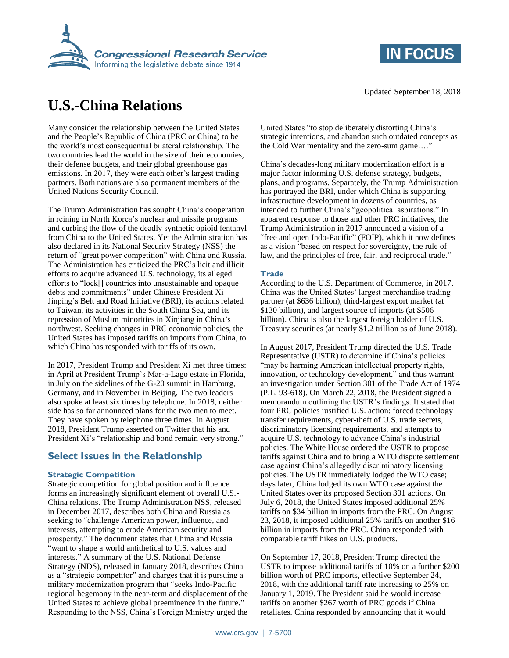

# **U.S.-China Relations**

Many consider the relationship between the United States and the People's Republic of China (PRC or China) to be the world's most consequential bilateral relationship. The two countries lead the world in the size of their economies, their defense budgets, and their global greenhouse gas emissions. In 2017, they were each other's largest trading partners. Both nations are also permanent members of the United Nations Security Council.

The Trump Administration has sought China's cooperation in reining in North Korea's nuclear and missile programs and curbing the flow of the deadly synthetic opioid fentanyl from China to the United States. Yet the Administration has also declared in its National Security Strategy (NSS) the return of "great power competition" with China and Russia. The Administration has criticized the PRC's licit and illicit efforts to acquire advanced U.S. technology, its alleged efforts to "lock[] countries into unsustainable and opaque debts and commitments" under Chinese President Xi Jinping's Belt and Road Initiative (BRI), its actions related to Taiwan, its activities in the South China Sea, and its repression of Muslim minorities in Xinjiang in China's northwest. Seeking changes in PRC economic policies, the United States has imposed tariffs on imports from China, to which China has responded with tariffs of its own.

In 2017, President Trump and President Xi met three times: in April at President Trump's Mar-a-Lago estate in Florida, in July on the sidelines of the G-20 summit in Hamburg, Germany, and in November in Beijing. The two leaders also spoke at least six times by telephone. In 2018, neither side has so far announced plans for the two men to meet. They have spoken by telephone three times. In August 2018, President Trump asserted on Twitter that his and President Xi's "relationship and bond remain very strong."

# **Select Issues in the Relationship**

# **Strategic Competition**

Strategic competition for global position and influence forms an increasingly significant element of overall U.S.- China relations. The Trump Administration NSS, released in December 2017, describes both China and Russia as seeking to "challenge American power, influence, and interests, attempting to erode American security and prosperity." The document states that China and Russia "want to shape a world antithetical to U.S. values and interests." A summary of the U.S. National Defense Strategy (NDS), released in January 2018, describes China as a "strategic competitor" and charges that it is pursuing a military modernization program that "seeks Indo-Pacific regional hegemony in the near-term and displacement of the United States to achieve global preeminence in the future." Responding to the NSS, China's Foreign Ministry urged the

United States "to stop deliberately distorting China's strategic intentions, and abandon such outdated concepts as the Cold War mentality and the zero-sum game…."

China's decades-long military modernization effort is a major factor informing U.S. defense strategy, budgets, plans, and programs. Separately, the Trump Administration has portrayed the BRI, under which China is supporting infrastructure development in dozens of countries, as intended to further China's "geopolitical aspirations." In apparent response to those and other PRC initiatives, the Trump Administration in 2017 announced a vision of a "free and open Indo-Pacific" (FOIP), which it now defines as a vision "based on respect for sovereignty, the rule of law, and the principles of free, fair, and reciprocal trade."

#### **Trade**

According to the U.S. Department of Commerce, in 2017, China was the United States' largest merchandise trading partner (at \$636 billion), third-largest export market (at \$130 billion), and largest source of imports (at \$506 billion). China is also the largest foreign holder of U.S. Treasury securities (at nearly \$1.2 trillion as of June 2018).

In August 2017, President Trump directed the U.S. Trade Representative (USTR) to determine if China's policies "may be harming American intellectual property rights, innovation, or technology development," and thus warrant an investigation under Section 301 of the Trade Act of 1974 (P.L. 93-618). On March 22, 2018, the President signed a memorandum outlining the USTR's findings. It stated that four PRC policies justified U.S. action: forced technology transfer requirements, cyber-theft of U.S. trade secrets, discriminatory licensing requirements, and attempts to acquire U.S. technology to advance China's industrial policies. The White House ordered the USTR to propose tariffs against China and to bring a WTO dispute settlement case against China's allegedly discriminatory licensing policies. The USTR immediately lodged the WTO case; days later, China lodged its own WTO case against the United States over its proposed Section 301 actions. On July 6, 2018, the United States imposed additional 25% tariffs on \$34 billion in imports from the PRC. On August 23, 2018, it imposed additional 25% tariffs on another \$16 billion in imports from the PRC. China responded with comparable tariff hikes on U.S. products.

On September 17, 2018, President Trump directed the USTR to impose additional tariffs of 10% on a further \$200 billion worth of PRC imports, effective September 24, 2018, with the additional tariff rate increasing to 25% on January 1, 2019. The President said he would increase tariffs on another \$267 worth of PRC goods if China retaliates. China responded by announcing that it would